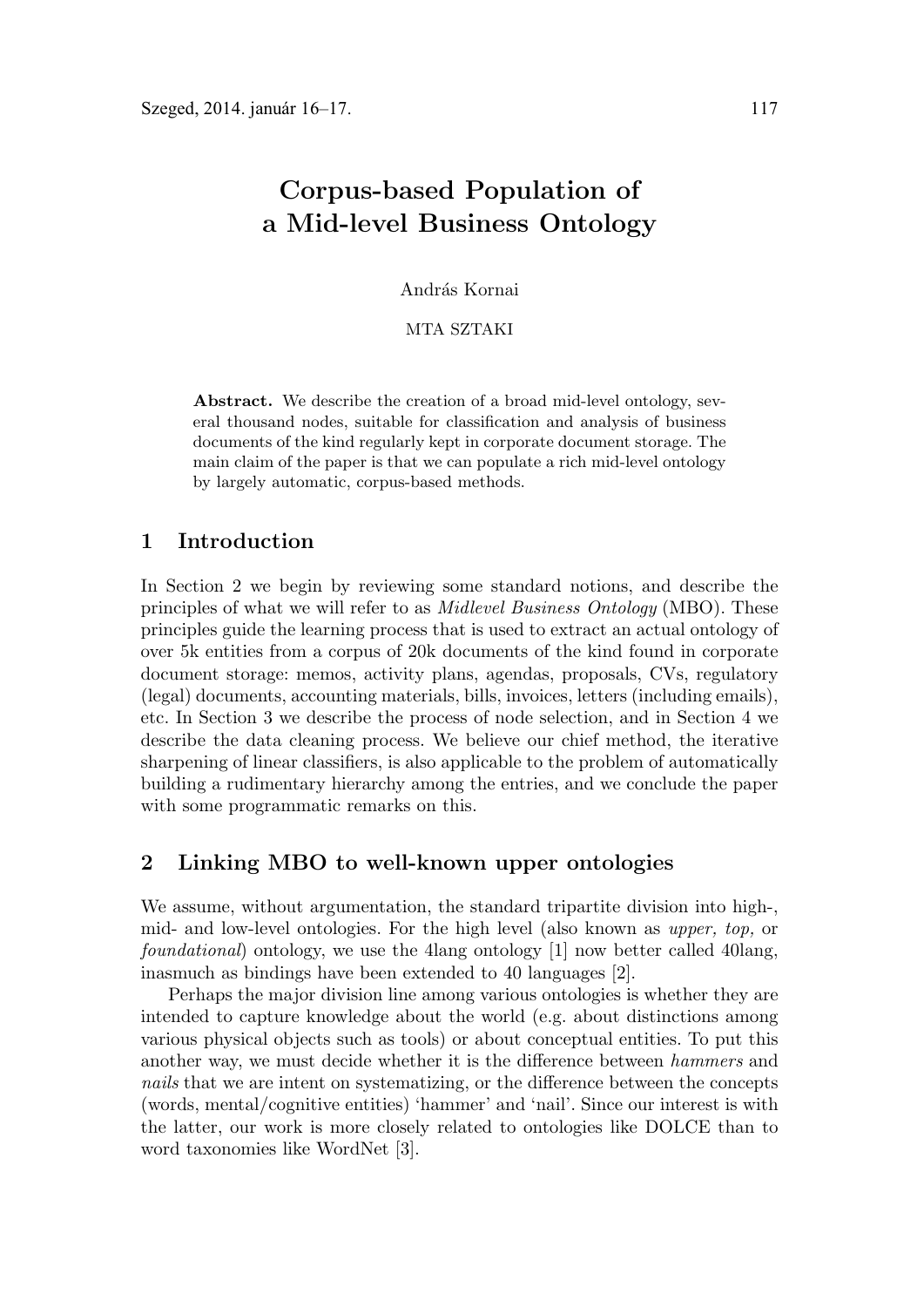# **Corpus-based Population of a Mid-level Business Ontology**

András Kornai

MTA SZTAKI

**Abstract.** We describe the creation of a broad mid-level ontology, several thousand nodes, suitable for classification and analysis of business documents of the kind regularly kept in corporate document storage. The main claim of the paper is that we can populate a rich mid-level ontology by largely automatic, corpus-based methods.

### **1 Introduction**

In Section 2 we begin by reviewing some standard notions, and describe the principles of what we will refer to as Midlevel Business Ontology (MBO). These principles guide the learning process that is used to extract an actual ontology of over 5k entities from a corpus of 20k documents of the kind found in corporate document storage: memos, activity plans, agendas, proposals, CVs, regulatory (legal) documents, accounting materials, bills, invoices, letters (including emails), etc. In Section 3 we describe the process of node selection, and in Section 4 we describe the data cleaning process. We believe our chief method, the iterative sharpening of linear classifiers, is also applicable to the problem of automatically building a rudimentary hierarchy among the entries, and we conclude the paper with some programmatic remarks on this.

# **2 Linking MBO to well-known upper ontologies**

We assume, without argumentation, the standard tripartite division into high-, mid- and low-level ontologies. For the high level (also known as upper, top, or foundational) ontology, we use the 4lang ontology [1] now better called 40lang, inasmuch as bindings have been extended to 40 languages [2].

Perhaps the major division line among various ontologies is whether they are intended to capture knowledge about the world (e.g. about distinctions among various physical objects such as tools) or about conceptual entities. To put this another way, we must decide whether it is the difference between hammers and nails that we are intent on systematizing, or the difference between the concepts (words, mental/cognitive entities) 'hammer' and 'nail'. Since our interest is with the latter, our work is more closely related to ontologies like DOLCE than to word taxonomies like WordNet [3].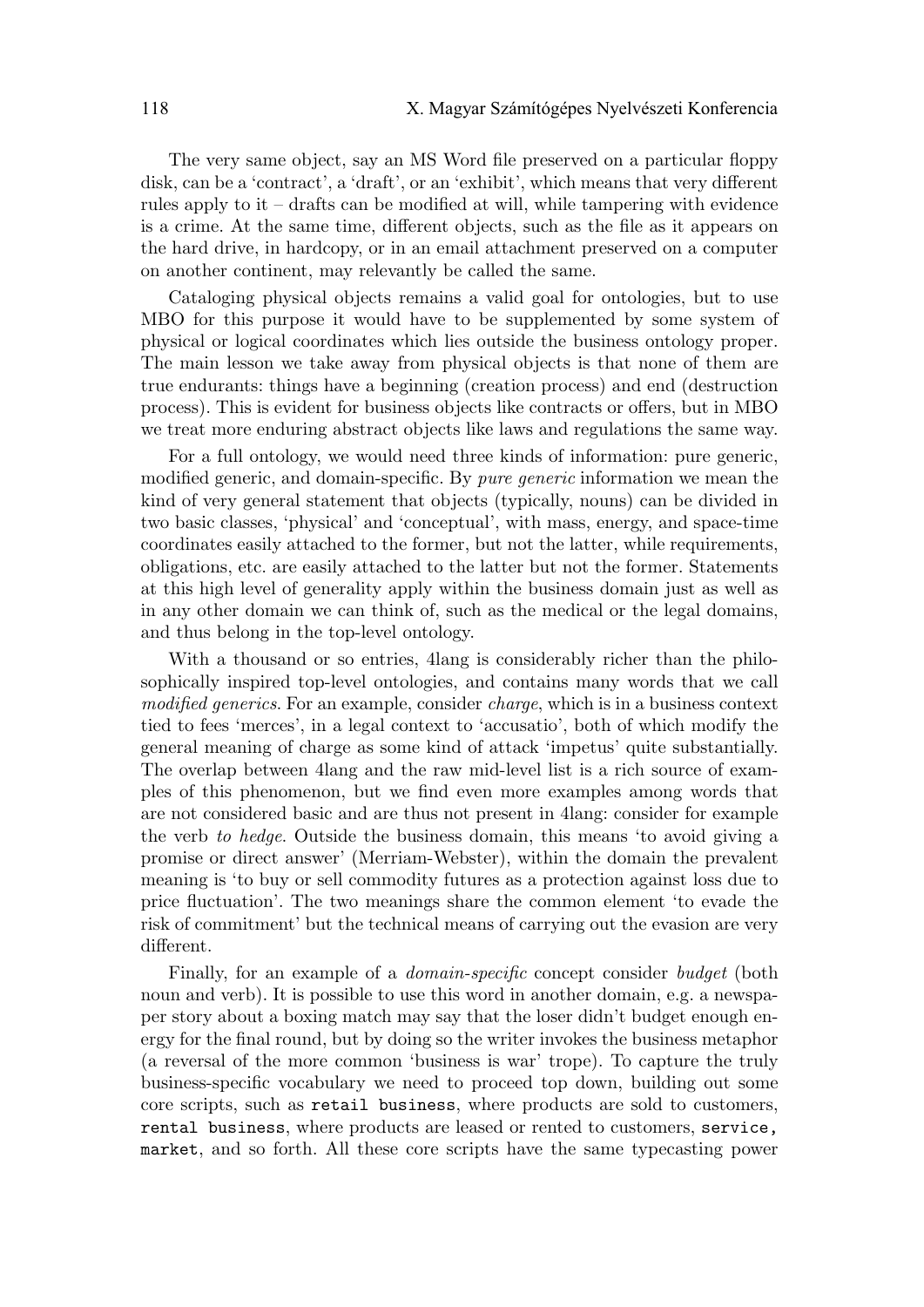The very same object, say an MS Word file preserved on a particular floppy disk, can be a 'contract', a 'draft', or an 'exhibit', which means that very different rules apply to it – drafts can be modified at will, while tampering with evidence is a crime. At the same time, different objects, such as the file as it appears on the hard drive, in hardcopy, or in an email attachment preserved on a computer on another continent, may relevantly be called the same.

Cataloging physical objects remains a valid goal for ontologies, but to use MBO for this purpose it would have to be supplemented by some system of physical or logical coordinates which lies outside the business ontology proper. The main lesson we take away from physical objects is that none of them are true endurants: things have a beginning (creation process) and end (destruction process). This is evident for business objects like contracts or offers, but in MBO we treat more enduring abstract objects like laws and regulations the same way.

For a full ontology, we would need three kinds of information: pure generic, modified generic, and domain-specific. By pure generic information we mean the kind of very general statement that objects (typically, nouns) can be divided in two basic classes, 'physical' and 'conceptual', with mass, energy, and space-time coordinates easily attached to the former, but not the latter, while requirements, obligations, etc. are easily attached to the latter but not the former. Statements at this high level of generality apply within the business domain just as well as in any other domain we can think of, such as the medical or the legal domains, and thus belong in the top-level ontology.

With a thousand or so entries, 4lang is considerably richer than the philosophically inspired top-level ontologies, and contains many words that we call modified generics. For an example, consider *charge*, which is in a business context tied to fees 'merces', in a legal context to 'accusatio', both of which modify the general meaning of charge as some kind of attack 'impetus' quite substantially. The overlap between 4lang and the raw mid-level list is a rich source of examples of this phenomenon, but we find even more examples among words that are not considered basic and are thus not present in 4lang: consider for example the verb to hedge. Outside the business domain, this means 'to avoid giving a promise or direct answer' (Merriam-Webster), within the domain the prevalent meaning is 'to buy or sell commodity futures as a protection against loss due to price fluctuation'. The two meanings share the common element 'to evade the risk of commitment' but the technical means of carrying out the evasion are very different.

Finally, for an example of a *domain-specific* concept consider *budget* (both noun and verb). It is possible to use this word in another domain, e.g. a newspaper story about a boxing match may say that the loser didn't budget enough energy for the final round, but by doing so the writer invokes the business metaphor (a reversal of the more common 'business is war' trope). To capture the truly business-specific vocabulary we need to proceed top down, building out some core scripts, such as retail business, where products are sold to customers, rental business, where products are leased or rented to customers, service, market, and so forth. All these core scripts have the same typecasting power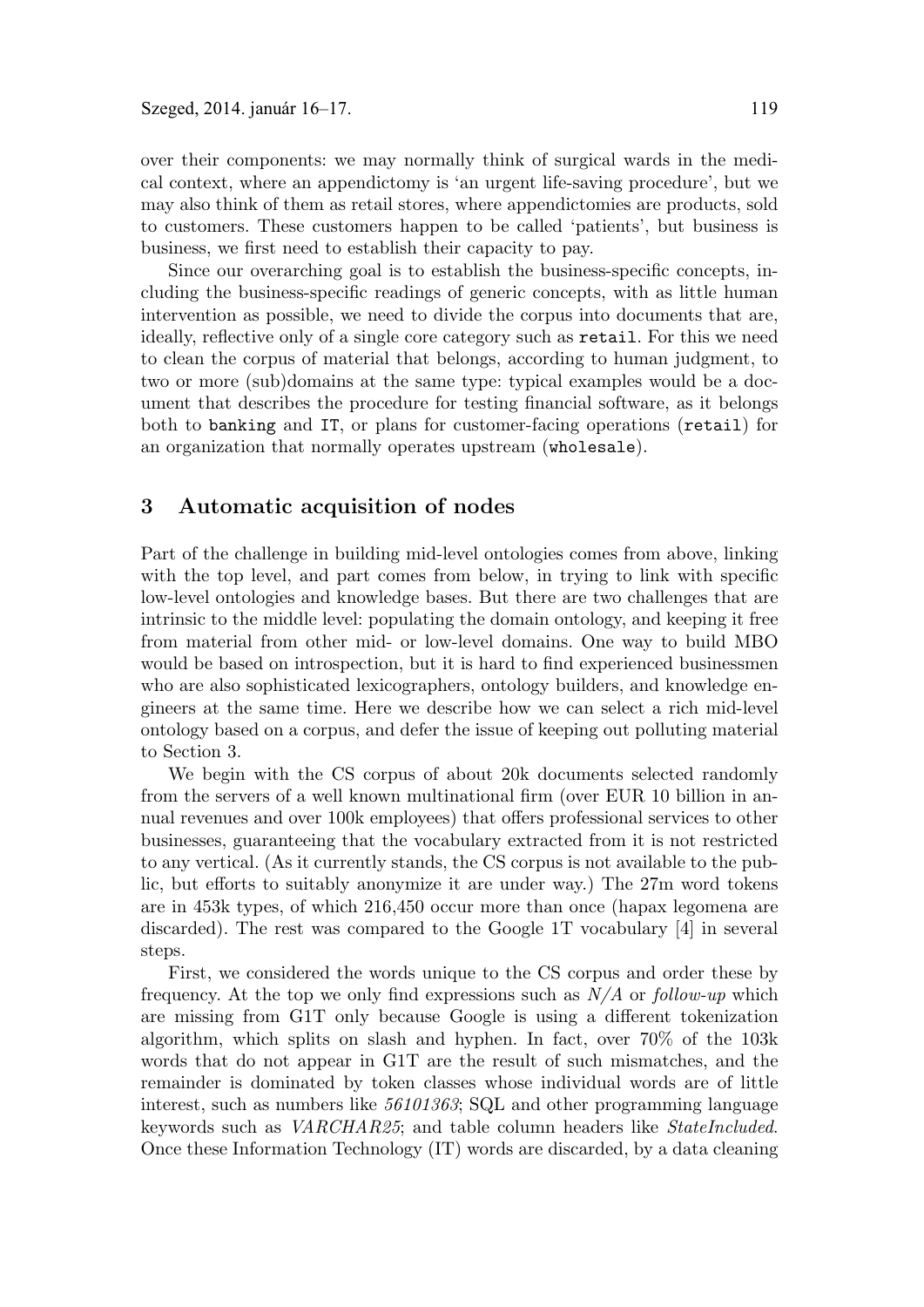over their components: we may normally think of surgical wards in the medical context, where an appendictomy is 'an urgent life-saving procedure', but we may also think of them as retail stores, where appendictomies are products, sold to customers. These customers happen to be called 'patients', but business is business, we first need to establish their capacity to pay.

Since our overarching goal is to establish the business-specific concepts, including the business-specific readings of generic concepts, with as little human intervention as possible, we need to divide the corpus into documents that are, ideally, reflective only of a single core category such as retail. For this we need to clean the corpus of material that belongs, according to human judgment, to two or more (sub)domains at the same type: typical examples would be a document that describes the procedure for testing financial software, as it belongs both to banking and IT, or plans for customer-facing operations (retail) for an organization that normally operates upstream (wholesale).

# **3 Automatic acquisition of nodes**

Part of the challenge in building mid-level ontologies comes from above, linking with the top level, and part comes from below, in trying to link with specific low-level ontologies and knowledge bases. But there are two challenges that are intrinsic to the middle level: populating the domain ontology, and keeping it free from material from other mid- or low-level domains. One way to build MBO would be based on introspection, but it is hard to find experienced businessmen who are also sophisticated lexicographers, ontology builders, and knowledge engineers at the same time. Here we describe how we can select a rich mid-level ontology based on a corpus, and defer the issue of keeping out polluting material to Section 3.

We begin with the CS corpus of about 20k documents selected randomly from the servers of a well known multinational firm (over EUR 10 billion in annual revenues and over 100k employees) that offers professional services to other businesses, guaranteeing that the vocabulary extracted from it is not restricted to any vertical. (As it currently stands, the CS corpus is not available to the public, but efforts to suitably anonymize it are under way.) The 27m word tokens are in 453k types, of which 216,450 occur more than once (hapax legomena are discarded). The rest was compared to the Google 1T vocabulary [4] in several steps.

First, we considered the words unique to the CS corpus and order these by frequency. At the top we only find expressions such as  $N/A$  or follow-up which are missing from G1T only because Google is using a different tokenization algorithm, which splits on slash and hyphen. In fact, over 70% of the 103k words that do not appear in G1T are the result of such mismatches, and the remainder is dominated by token classes whose individual words are of little interest, such as numbers like 56101363; SQL and other programming language keywords such as VARCHAR25; and table column headers like StateIncluded. Once these Information Technology (IT) words are discarded, by a data cleaning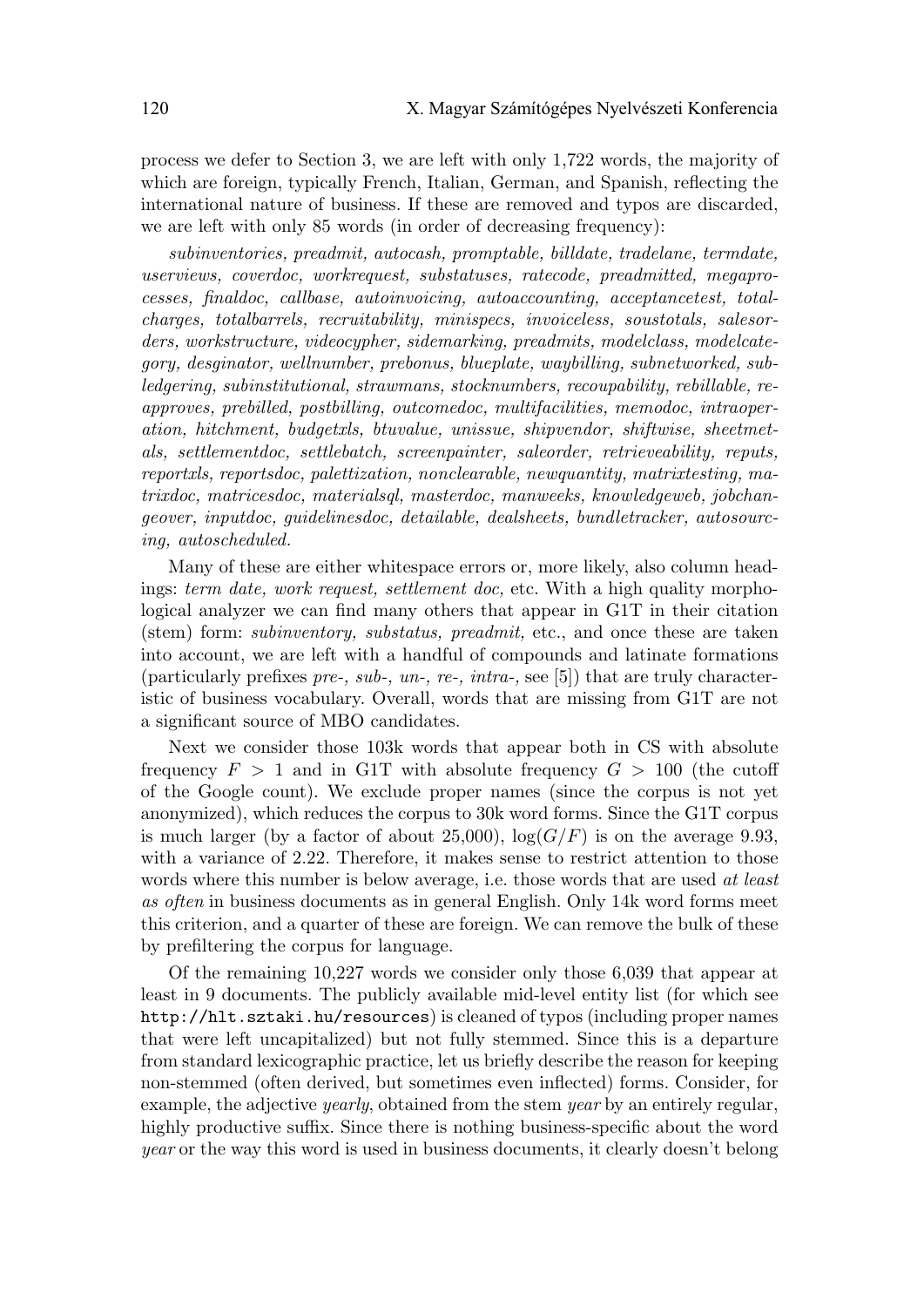process we defer to Section 3, we are left with only 1,722 words, the majority of which are foreign, typically French, Italian, German, and Spanish, reflecting the international nature of business. If these are removed and typos are discarded, we are left with only 85 words (in order of decreasing frequency):

subinventories, preadmit, autocash, promptable, billdate, tradelane, termdate, userviews, coverdoc, workrequest, substatuses, ratecode, preadmitted, megaprocesses, finaldoc, callbase, autoinvoicing, autoaccounting, acceptancetest, totalcharges, totalbarrels, recruitability, minispecs, invoiceless, soustotals, salesorders, workstructure, videocypher, sidemarking, preadmits, modelclass, modelcategory, desginator, wellnumber, prebonus, blueplate, waybilling, subnetworked, subledgering, subinstitutional, strawmans, stocknumbers, recoupability, rebillable, reapproves, prebilled, postbilling, outcomedoc, multifacilities, memodoc, intraoperation, hitchment, budgetxls, btuvalue, unissue, shipvendor, shiftwise, sheetmetals, settlementdoc, settlebatch, screenpainter, saleorder, retrieveability, reputs, reportxls, reportsdoc, palettization, nonclearable, newquantity, matrixtesting, matrixdoc, matricesdoc, materialsql, masterdoc, manweeks, knowledgeweb, jobchangeover, inputdoc, guidelinesdoc, detailable, dealsheets, bundletracker, autosourcing, autoscheduled.

Many of these are either whitespace errors or, more likely, also column headings: term date, work request, settlement doc, etc. With a high quality morphological analyzer we can find many others that appear in G1T in their citation (stem) form: subinventory, substatus, preadmit, etc., and once these are taken into account, we are left with a handful of compounds and latinate formations (particularly prefixes pre-, sub-, un-, re-, intra-, see [5]) that are truly characteristic of business vocabulary. Overall, words that are missing from G1T are not a significant source of MBO candidates.

Next we consider those 103k words that appear both in CS with absolute frequency  $F > 1$  and in G1T with absolute frequency  $G > 100$  (the cutoff of the Google count). We exclude proper names (since the corpus is not yet anonymized), which reduces the corpus to 30k word forms. Since the G1T corpus is much larger (by a factor of about 25,000),  $\log(G/F)$  is on the average 9.93, with a variance of 2.22. Therefore, it makes sense to restrict attention to those words where this number is below average, i.e. those words that are used at least as often in business documents as in general English. Only 14k word forms meet this criterion, and a quarter of these are foreign. We can remove the bulk of these by prefiltering the corpus for language.

Of the remaining 10,227 words we consider only those 6,039 that appear at least in 9 documents. The publicly available mid-level entity list (for which see http://hlt.sztaki.hu/resources) is cleaned of typos (including proper names that were left uncapitalized) but not fully stemmed. Since this is a departure from standard lexicographic practice, let us briefly describe the reason for keeping non-stemmed (often derived, but sometimes even inflected) forms. Consider, for example, the adjective *yearly*, obtained from the stem *year* by an entirely regular, highly productive suffix. Since there is nothing business-specific about the word year or the way this word is used in business documents, it clearly doesn't belong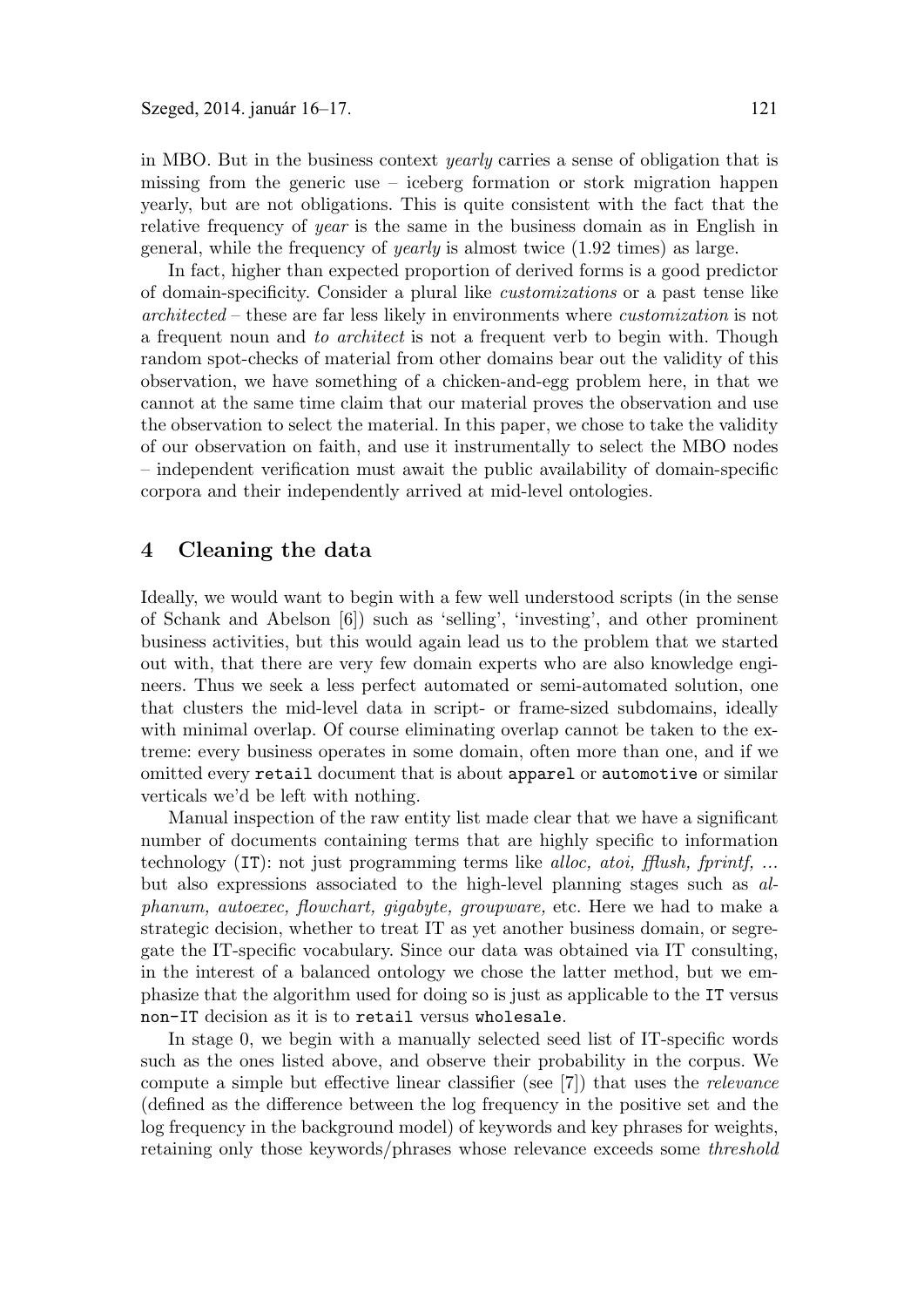in MBO. But in the business context yearly carries a sense of obligation that is missing from the generic use – iceberg formation or stork migration happen yearly, but are not obligations. This is quite consistent with the fact that the relative frequency of year is the same in the business domain as in English in general, while the frequency of yearly is almost twice (1.92 times) as large.

In fact, higher than expected proportion of derived forms is a good predictor of domain-specificity. Consider a plural like customizations or a past tense like architected – these are far less likely in environments where customization is not a frequent noun and to architect is not a frequent verb to begin with. Though random spot-checks of material from other domains bear out the validity of this observation, we have something of a chicken-and-egg problem here, in that we cannot at the same time claim that our material proves the observation and use the observation to select the material. In this paper, we chose to take the validity of our observation on faith, and use it instrumentally to select the MBO nodes – independent verification must await the public availability of domain-specific corpora and their independently arrived at mid-level ontologies.

## **4 Cleaning the data**

Ideally, we would want to begin with a few well understood scripts (in the sense of Schank and Abelson [6]) such as 'selling', 'investing', and other prominent business activities, but this would again lead us to the problem that we started out with, that there are very few domain experts who are also knowledge engineers. Thus we seek a less perfect automated or semi-automated solution, one that clusters the mid-level data in script- or frame-sized subdomains, ideally with minimal overlap. Of course eliminating overlap cannot be taken to the extreme: every business operates in some domain, often more than one, and if we omitted every retail document that is about apparel or automotive or similar verticals we'd be left with nothing.

Manual inspection of the raw entity list made clear that we have a significant number of documents containing terms that are highly specific to information technology  $(T)$ : not just programming terms like *alloc, atoi, fflush, fprintf, ...* but also expressions associated to the high-level planning stages such as alphanum, autoexec, flowchart, gigabyte, groupware, etc. Here we had to make a strategic decision, whether to treat IT as yet another business domain, or segregate the IT-specific vocabulary. Since our data was obtained via IT consulting, in the interest of a balanced ontology we chose the latter method, but we emphasize that the algorithm used for doing so is just as applicable to the IT versus non-IT decision as it is to retail versus wholesale.

In stage 0, we begin with a manually selected seed list of IT-specific words such as the ones listed above, and observe their probability in the corpus. We compute a simple but effective linear classifier (see [7]) that uses the relevance (defined as the difference between the log frequency in the positive set and the log frequency in the background model) of keywords and key phrases for weights, retaining only those keywords/phrases whose relevance exceeds some threshold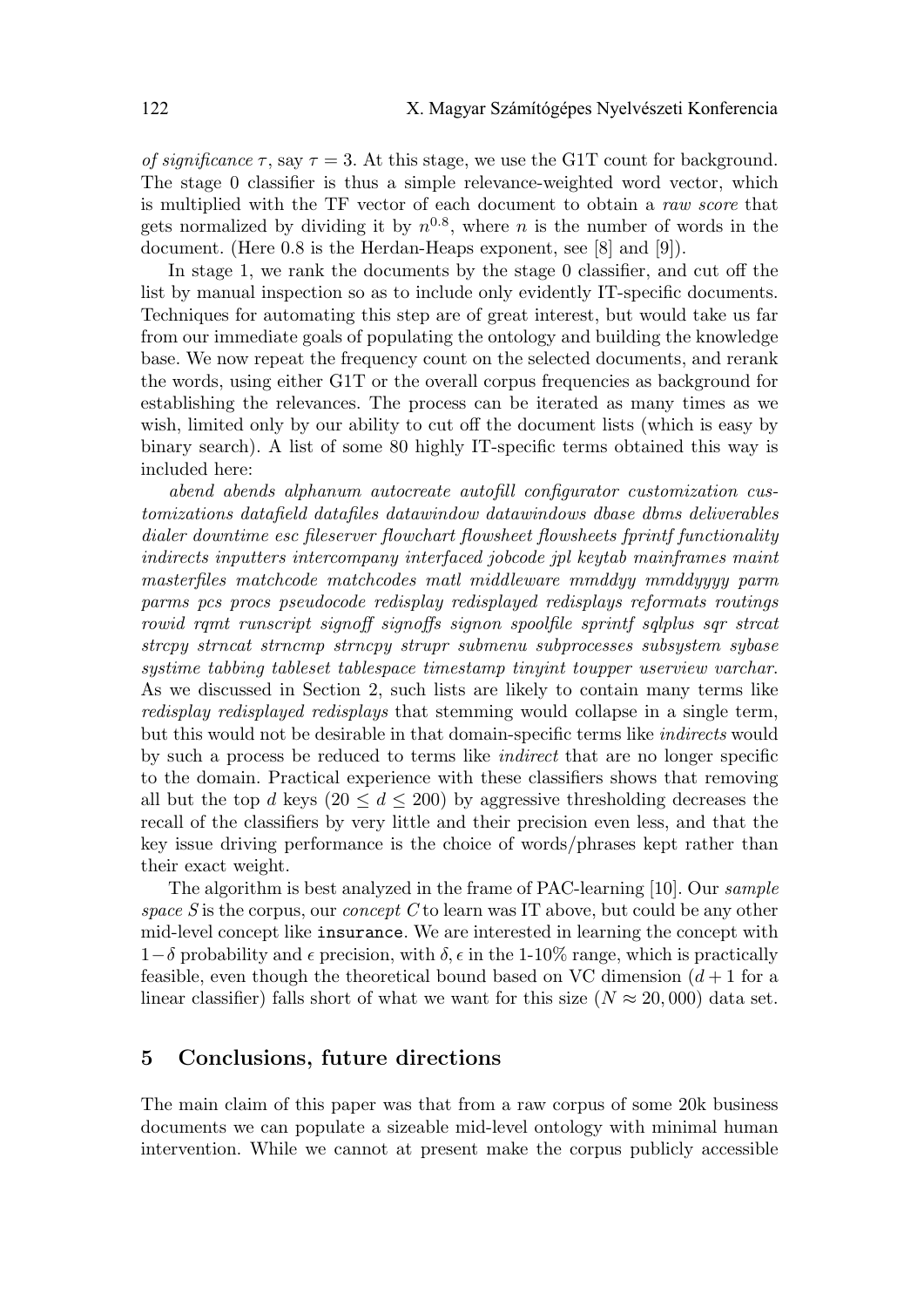of significance  $\tau$ , say  $\tau = 3$ . At this stage, we use the G1T count for background. The stage 0 classifier is thus a simple relevance-weighted word vector, which is multiplied with the TF vector of each document to obtain a raw score that gets normalized by dividing it by  $n^{0.8}$ , where n is the number of words in the document. (Here 0.8 is the Herdan-Heaps exponent, see [8] and [9]).

In stage 1, we rank the documents by the stage 0 classifier, and cut off the list by manual inspection so as to include only evidently IT-specific documents. Techniques for automating this step are of great interest, but would take us far from our immediate goals of populating the ontology and building the knowledge base. We now repeat the frequency count on the selected documents, and rerank the words, using either G1T or the overall corpus frequencies as background for establishing the relevances. The process can be iterated as many times as we wish, limited only by our ability to cut off the document lists (which is easy by binary search). A list of some 80 highly IT-specific terms obtained this way is included here:

abend abends alphanum autocreate autofill configurator customization customizations datafield datafiles datawindow datawindows dbase dbms deliverables dialer downtime esc fileserver flowchart flowsheet flowsheets fprintf functionality indirects inputters intercompany interfaced jobcode jpl keytab mainframes maint masterfiles matchcode matchcodes matl middleware mmddyy mmddyyyy parm parms pcs procs pseudocode redisplay redisplayed redisplays reformats routings rowid rqmt runscript signoff signoffs signon spoolfile sprintf sqlplus sqr strcat strcpy strncat strncmp strncpy strupr submenu subprocesses subsystem sybase systime tabbing tableset tablespace timestamp tinyint toupper userview varchar. As we discussed in Section 2, such lists are likely to contain many terms like redisplay redisplayed redisplays that stemming would collapse in a single term, but this would not be desirable in that domain-specific terms like *indirects* would by such a process be reduced to terms like indirect that are no longer specific to the domain. Practical experience with these classifiers shows that removing all but the top d keys  $(20 \le d \le 200)$  by aggressive thresholding decreases the recall of the classifiers by very little and their precision even less, and that the key issue driving performance is the choice of words/phrases kept rather than their exact weight.

The algorithm is best analyzed in the frame of PAC-learning [10]. Our sample space S is the corpus, our concept C to learn was IT above, but could be any other mid-level concept like insurance. We are interested in learning the concept with 1−δ probability and  $\epsilon$  precision, with  $\delta$ ,  $\epsilon$  in the 1-10% range, which is practically feasible, even though the theoretical bound based on VC dimension  $(d+1)$  for a linear classifier) falls short of what we want for this size ( $N \approx 20,000$ ) data set.

#### **5 Conclusions, future directions**

The main claim of this paper was that from a raw corpus of some 20k business documents we can populate a sizeable mid-level ontology with minimal human intervention. While we cannot at present make the corpus publicly accessible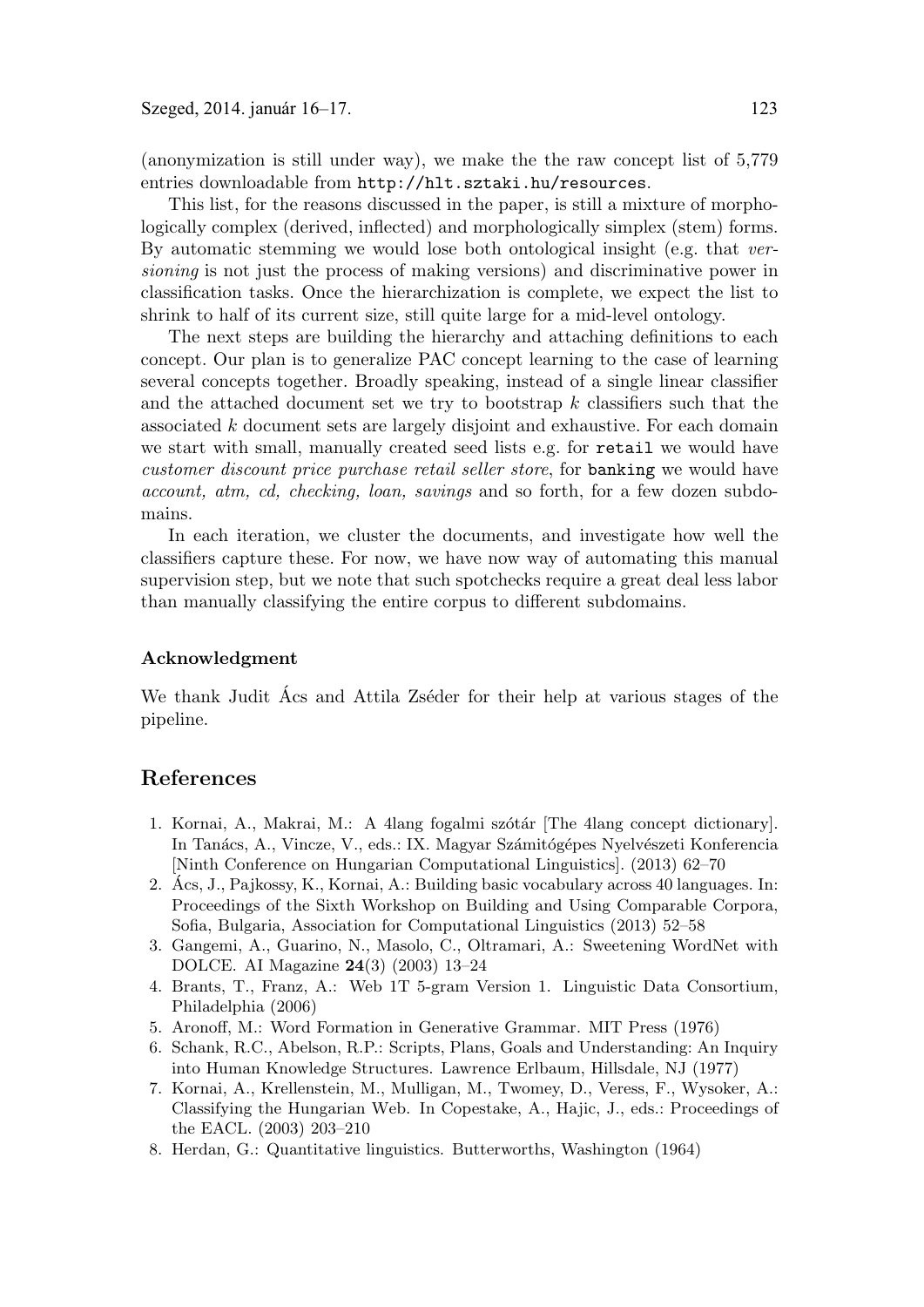(anonymization is still under way), we make the the raw concept list of 5,779 entries downloadable from http://hlt.sztaki.hu/resources.

This list, for the reasons discussed in the paper, is still a mixture of morphologically complex (derived, inflected) and morphologically simplex (stem) forms. By automatic stemming we would lose both ontological insight (e.g. that versioning is not just the process of making versions) and discriminative power in classification tasks. Once the hierarchization is complete, we expect the list to shrink to half of its current size, still quite large for a mid-level ontology.

The next steps are building the hierarchy and attaching definitions to each concept. Our plan is to generalize PAC concept learning to the case of learning several concepts together. Broadly speaking, instead of a single linear classifier and the attached document set we try to bootstrap  $k$  classifiers such that the associated k document sets are largely disjoint and exhaustive. For each domain we start with small, manually created seed lists e.g. for retail we would have customer discount price purchase retail seller store, for banking we would have account, atm, cd, checking, loan, savings and so forth, for a few dozen subdomains.

In each iteration, we cluster the documents, and investigate how well the classifiers capture these. For now, we have now way of automating this manual supervision step, but we note that such spotchecks require a great deal less labor than manually classifying the entire corpus to different subdomains.

#### **Acknowledgment**

We thank Judit Acs and Attila Zséder for their help at various stages of the pipeline.

#### **References**

- 1. Kornai, A., Makrai, M.: A 4lang fogalmi szótár [The 4lang concept dictionary]. In Tanács, A., Vincze, V., eds.: IX. Magyar Számitógépes Nyelvészeti Konferencia [Ninth Conference on Hungarian Computational Linguistics]. (2013) 62–70
- 2. Acs, J., Pajkossy, K., Kornai, A.: Building basic vocabulary across 40 languages. In: ´ Proceedings of the Sixth Workshop on Building and Using Comparable Corpora, Sofia, Bulgaria, Association for Computational Linguistics (2013) 52–58
- 3. Gangemi, A., Guarino, N., Masolo, C., Oltramari, A.: Sweetening WordNet with DOLCE. AI Magazine **24**(3) (2003) 13–24
- 4. Brants, T., Franz, A.: Web 1T 5-gram Version 1. Linguistic Data Consortium, Philadelphia (2006)
- 5. Aronoff, M.: Word Formation in Generative Grammar. MIT Press (1976)
- 6. Schank, R.C., Abelson, R.P.: Scripts, Plans, Goals and Understanding: An Inquiry into Human Knowledge Structures. Lawrence Erlbaum, Hillsdale, NJ (1977)
- 7. Kornai, A., Krellenstein, M., Mulligan, M., Twomey, D., Veress, F., Wysoker, A.: Classifying the Hungarian Web. In Copestake, A., Hajic, J., eds.: Proceedings of the EACL. (2003) 203–210
- 8. Herdan, G.: Quantitative linguistics. Butterworths, Washington (1964)